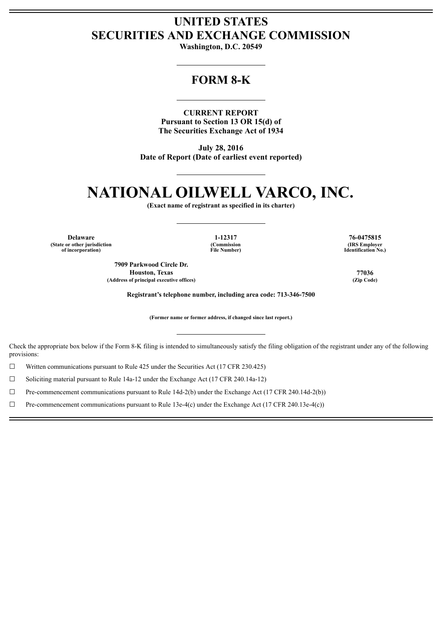# **UNITED STATES SECURITIES AND EXCHANGE COMMISSION**

**Washington, D.C. 20549**

# **FORM 8-K**

**CURRENT REPORT Pursuant to Section 13 OR 15(d) of The Securities Exchange Act of 1934**

**July 28, 2016 Date of Report (Date of earliest event reported)**

# **NATIONAL OILWELL VARCO, INC.**

**(Exact name of registrant as specified in its charter)**

**Delaware 1-12317 76-0475815 (State or other jurisdiction (Commission (IRS Employer of incorporation) File Number) Identification No.)**

**7909 Parkwood Circle Dr. Houston, Texas 77036 (Address of principal executive offices) (Zip Code)**

**Registrant's telephone number, including area code: 713-346-7500**

**(Former name or former address, if changed since last report.)**

Check the appropriate box below if the Form 8-K filing is intended to simultaneously satisfy the filing obligation of the registrant under any of the following provisions:

 $\Box$  Written communications pursuant to Rule 425 under the Securities Act (17 CFR 230.425)

 $\Box$  Soliciting material pursuant to Rule 14a-12 under the Exchange Act (17 CFR 240.14a-12)

 $\Box$  Pre-commencement communications pursuant to Rule 14d-2(b) under the Exchange Act (17 CFR 240.14d-2(b))

 $\Box$  Pre-commencement communications pursuant to Rule 13e-4(c) under the Exchange Act (17 CFR 240.13e-4(c))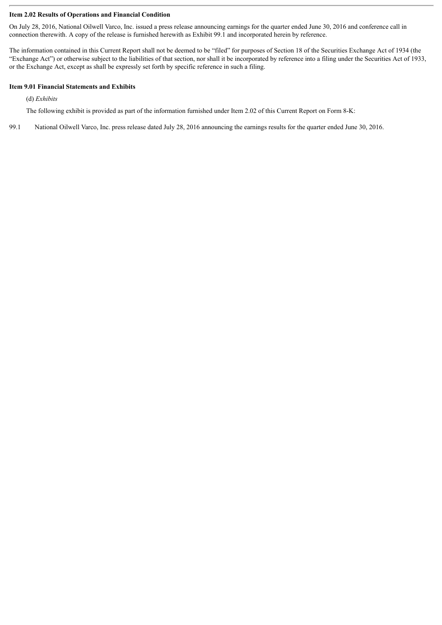# **Item 2.02 Results of Operations and Financial Condition**

On July 28, 2016, National Oilwell Varco, Inc. issued a press release announcing earnings for the quarter ended June 30, 2016 and conference call in connection therewith. A copy of the release is furnished herewith as Exhibit 99.1 and incorporated herein by reference.

The information contained in this Current Report shall not be deemed to be "filed" for purposes of Section 18 of the Securities Exchange Act of 1934 (the "Exchange Act") or otherwise subject to the liabilities of that section, nor shall it be incorporated by reference into a filing under the Securities Act of 1933, or the Exchange Act, except as shall be expressly set forth by specific reference in such a filing.

# **Item 9.01 Financial Statements and Exhibits**

(d) *Exhibits*

The following exhibit is provided as part of the information furnished under Item 2.02 of this Current Report on Form 8-K:

99.1 National Oilwell Varco, Inc. press release dated July 28, 2016 announcing the earnings results for the quarter ended June 30, 2016.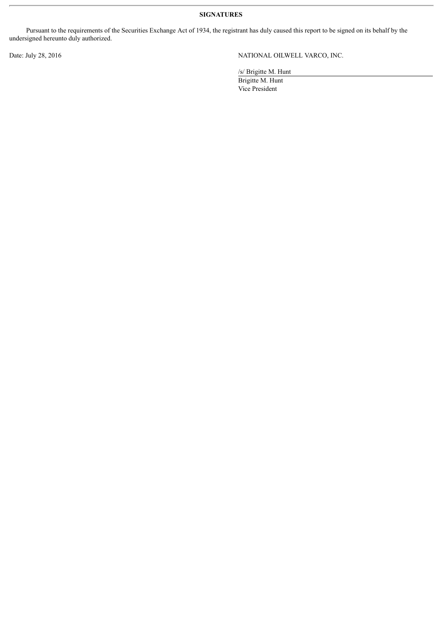**SIGNATURES**

Pursuant to the requirements of the Securities Exchange Act of 1934, the registrant has duly caused this report to be signed on its behalf by the undersigned hereunto duly authorized.

Date: July 28, 2016 NATIONAL OILWELL VARCO, INC.

/s/ Brigitte M. Hunt

Brigitte M. Hunt Vice President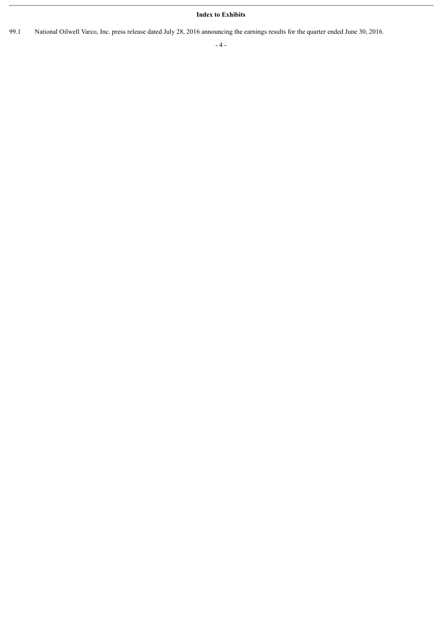# **Index to Exhibits**

99.1 National Oilwell Varco, Inc. press release dated July 28, 2016 announcing the earnings results for the quarter ended June 30, 2016.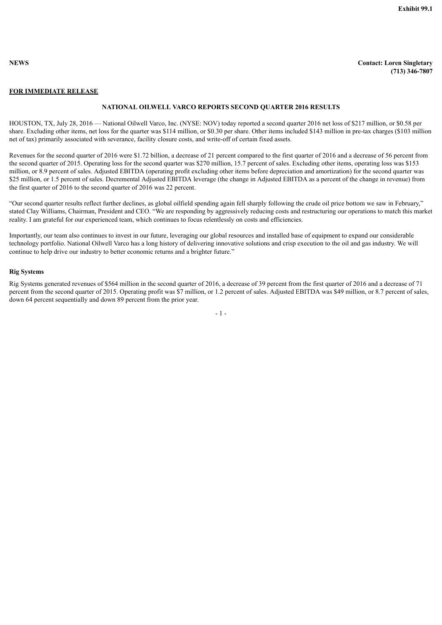

**NEWS Contact: Loren Singletary (713) 346-7807**

# **FOR IMMEDIATE RELEASE**

#### **NATIONAL OILWELL VARCO REPORTS SECOND QUARTER 2016 RESULTS**

HOUSTON, TX, July 28, 2016 — National Oilwell Varco, Inc. (NYSE: NOV) today reported a second quarter 2016 net loss of \$217 million, or \$0.58 per share. Excluding other items, net loss for the quarter was \$114 million, or \$0.30 per share. Other items included \$143 million in pre-tax charges (\$103 million net of tax) primarily associated with severance, facility closure costs, and write-off of certain fixed assets.

Revenues for the second quarter of 2016 were \$1.72 billion, a decrease of 21 percent compared to the first quarter of 2016 and a decrease of 56 percent from the second quarter of 2015. Operating loss for the second quarter was \$270 million, 15.7 percent of sales. Excluding other items, operating loss was \$153 million, or 8.9 percent of sales. Adjusted EBITDA (operating profit excluding other items before depreciation and amortization) for the second quarter was \$25 million, or 1.5 percent of sales. Decremental Adjusted EBITDA leverage (the change in Adjusted EBITDA as a percent of the change in revenue) from the first quarter of 2016 to the second quarter of 2016 was 22 percent.

"Our second quarter results reflect further declines, as global oilfield spending again fell sharply following the crude oil price bottom we saw in February," stated Clay Williams, Chairman, President and CEO. "We are responding by aggressively reducing costs and restructuring our operations to match this market reality. I am grateful for our experienced team, which continues to focus relentlessly on costs and efficiencies.

Importantly, our team also continues to invest in our future, leveraging our global resources and installed base of equipment to expand our considerable technology portfolio. National Oilwell Varco has a long history of delivering innovative solutions and crisp execution to the oil and gas industry. We will continue to help drive our industry to better economic returns and a brighter future."

## **Rig Systems**

Rig Systems generated revenues of \$564 million in the second quarter of 2016, a decrease of 39 percent from the first quarter of 2016 and a decrease of 71 percent from the second quarter of 2015. Operating profit was \$7 million, or 1.2 percent of sales. Adjusted EBITDA was \$49 million, or 8.7 percent of sales, down 64 percent sequentially and down 89 percent from the prior year.

- 1 -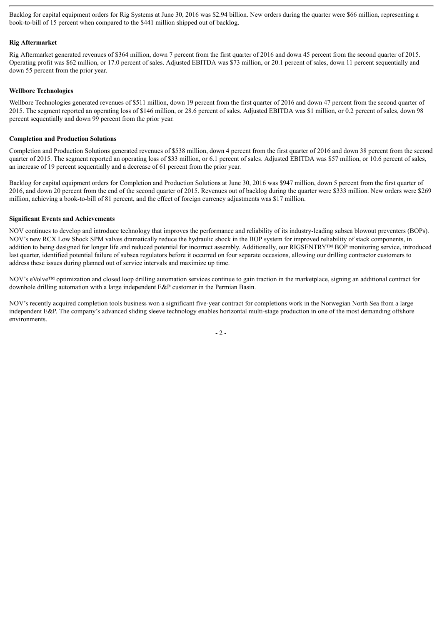Backlog for capital equipment orders for Rig Systems at June 30, 2016 was \$2.94 billion. New orders during the quarter were \$66 million, representing a book-to-bill of 15 percent when compared to the \$441 million shipped out of backlog.

# **Rig Aftermarket**

Rig Aftermarket generated revenues of \$364 million, down 7 percent from the first quarter of 2016 and down 45 percent from the second quarter of 2015. Operating profit was \$62 million, or 17.0 percent of sales. Adjusted EBITDA was \$73 million, or 20.1 percent of sales, down 11 percent sequentially and down 55 percent from the prior year.

# **Wellbore Technologies**

Wellbore Technologies generated revenues of \$511 million, down 19 percent from the first quarter of 2016 and down 47 percent from the second quarter of 2015. The segment reported an operating loss of \$146 million, or 28.6 percent of sales. Adjusted EBITDA was \$1 million, or 0.2 percent of sales, down 98 percent sequentially and down 99 percent from the prior year.

# **Completion and Production Solutions**

Completion and Production Solutions generated revenues of \$538 million, down 4 percent from the first quarter of 2016 and down 38 percent from the second quarter of 2015. The segment reported an operating loss of \$33 million, or 6.1 percent of sales. Adjusted EBITDA was \$57 million, or 10.6 percent of sales, an increase of 19 percent sequentially and a decrease of 61 percent from the prior year.

Backlog for capital equipment orders for Completion and Production Solutions at June 30, 2016 was \$947 million, down 5 percent from the first quarter of 2016, and down 20 percent from the end of the second quarter of 2015. Revenues out of backlog during the quarter were \$333 million. New orders were \$269 million, achieving a book-to-bill of 81 percent, and the effect of foreign currency adjustments was \$17 million.

# **Significant Events and Achievements**

NOV continues to develop and introduce technology that improves the performance and reliability of its industry-leading subsea blowout preventers (BOPs). NOV's new RCX Low Shock SPM valves dramatically reduce the hydraulic shock in the BOP system for improved reliability of stack components, in addition to being designed for longer life and reduced potential for incorrect assembly. Additionally, our RIGSENTRY™ BOP monitoring service, introduced last quarter, identified potential failure of subsea regulators before it occurred on four separate occasions, allowing our drilling contractor customers to address these issues during planned out of service intervals and maximize up time.

NOV's eVolve™ optimization and closed loop drilling automation services continue to gain traction in the marketplace, signing an additional contract for downhole drilling automation with a large independent E&P customer in the Permian Basin.

NOV's recently acquired completion tools business won a significant five-year contract for completions work in the Norwegian North Sea from a large independent E&P. The company's advanced sliding sleeve technology enables horizontal multi-stage production in one of the most demanding offshore environments.

 $-2-$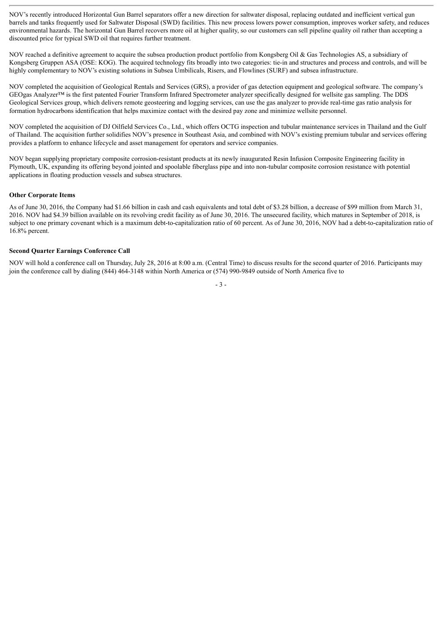NOV's recently introduced Horizontal Gun Barrel separators offer a new direction for saltwater disposal, replacing outdated and inefficient vertical gun barrels and tanks frequently used for Saltwater Disposal (SWD) facilities. This new process lowers power consumption, improves worker safety, and reduces environmental hazards. The horizontal Gun Barrel recovers more oil at higher quality, so our customers can sell pipeline quality oil rather than accepting a discounted price for typical SWD oil that requires further treatment.

NOV reached a definitive agreement to acquire the subsea production product portfolio from Kongsberg Oil & Gas Technologies AS, a subsidiary of Kongsberg Gruppen ASA (OSE: KOG). The acquired technology fits broadly into two categories: tie-in and structures and process and controls, and will be highly complementary to NOV's existing solutions in Subsea Umbilicals, Risers, and Flowlines (SURF) and subsea infrastructure.

NOV completed the acquisition of Geological Rentals and Services (GRS), a provider of gas detection equipment and geological software. The company's GEOgas Analyzer™ is the first patented Fourier Transform Infrared Spectrometer analyzer specifically designed for wellsite gas sampling. The DDS Geological Services group, which delivers remote geosteering and logging services, can use the gas analyzer to provide real-time gas ratio analysis for formation hydrocarbons identification that helps maximize contact with the desired pay zone and minimize wellsite personnel.

NOV completed the acquisition of DJ Oilfield Services Co., Ltd., which offers OCTG inspection and tubular maintenance services in Thailand and the Gulf of Thailand. The acquisition further solidifies NOV's presence in Southeast Asia, and combined with NOV's existing premium tubular and services offering provides a platform to enhance lifecycle and asset management for operators and service companies.

NOV began supplying proprietary composite corrosion-resistant products at its newly inaugurated Resin Infusion Composite Engineering facility in Plymouth, UK, expanding its offering beyond jointed and spoolable fiberglass pipe and into non-tubular composite corrosion resistance with potential applications in floating production vessels and subsea structures.

#### **Other Corporate Items**

As of June 30, 2016, the Company had \$1.66 billion in cash and cash equivalents and total debt of \$3.28 billion, a decrease of \$99 million from March 31, 2016. NOV had \$4.39 billion available on its revolving credit facility as of June 30, 2016. The unsecured facility, which matures in September of 2018, is subject to one primary covenant which is a maximum debt-to-capitalization ratio of 60 percent. As of June 30, 2016, NOV had a debt-to-capitalization ratio of 16.8% percent.

#### **Second Quarter Earnings Conference Call**

NOV will hold a conference call on Thursday, July 28, 2016 at 8:00 a.m. (Central Time) to discuss results for the second quarter of 2016. Participants may join the conference call by dialing (844) 464-3148 within North America or (574) 990-9849 outside of North America five to

- 3 -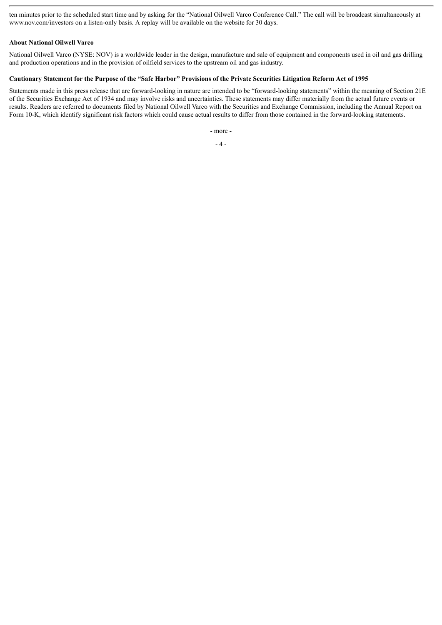ten minutes prior to the scheduled start time and by asking for the "National Oilwell Varco Conference Call." The call will be broadcast simultaneously at www.nov.com/investors on a listen-only basis. A replay will be available on the website for 30 days.

# **About National Oilwell Varco**

National Oilwell Varco (NYSE: NOV) is a worldwide leader in the design, manufacture and sale of equipment and components used in oil and gas drilling and production operations and in the provision of oilfield services to the upstream oil and gas industry.

# Cautionary Statement for the Purpose of the "Safe Harbor" Provisions of the Private Securities Litigation Reform Act of 1995

Statements made in this press release that are forward-looking in nature are intended to be "forward-looking statements" within the meaning of Section 21E of the Securities Exchange Act of 1934 and may involve risks and uncertainties. These statements may differ materially from the actual future events or results. Readers are referred to documents filed by National Oilwell Varco with the Securities and Exchange Commission, including the Annual Report on Form 10-K, which identify significant risk factors which could cause actual results to differ from those contained in the forward-looking statements.

- more -

 $-4-$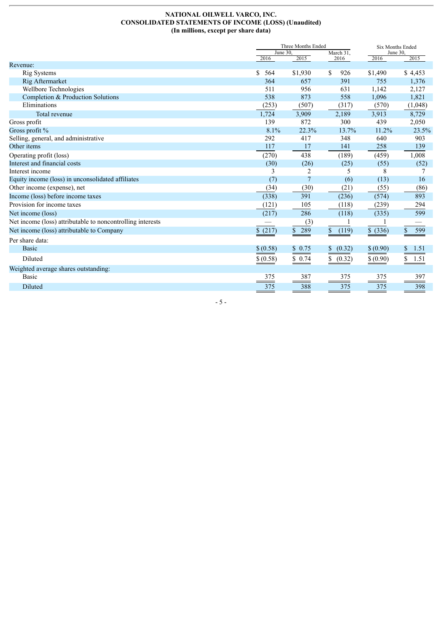### **NATIONAL OILWELL VARCO, INC. CONSOLIDATED STATEMENTS OF INCOME (LOSS) (Unaudited) (In millions, except per share data)**

|                                                            |           | Three Months Ended       |                       |           | Six Months Ended |  |  |
|------------------------------------------------------------|-----------|--------------------------|-----------------------|-----------|------------------|--|--|
|                                                            |           | June $30$ .<br>March 31, |                       |           | June 30,         |  |  |
| Revenue:                                                   | 2016      | 2015                     | 2016                  | 2016      | 2015             |  |  |
| <b>Rig Systems</b>                                         | \$<br>564 | \$1,930                  | \$.<br>926            | \$1,490   | \$4,453          |  |  |
| Rig Aftermarket                                            | 364       | 657                      | 391                   | 755       | 1,376            |  |  |
| Wellbore Technologies                                      | 511       | 956                      | 631                   | 1,142     | 2,127            |  |  |
| Completion & Production Solutions                          | 538       | 873                      | 558                   | 1,096     | 1,821            |  |  |
| Eliminations                                               | (253)     | (507)                    | (317)                 | (570)     | (1,048)          |  |  |
| Total revenue                                              | 1,724     | 3,909                    | 2,189                 | 3,913     | 8,729            |  |  |
| Gross profit                                               | 139       | 872                      | 300                   | 439       | 2,050            |  |  |
| Gross profit %                                             | 8.1%      | 22.3%                    | 13.7%                 | 11.2%     | 23.5%            |  |  |
| Selling, general, and administrative                       | 292       | 417                      | 348                   | 640       | 903              |  |  |
| Other items                                                | 117       | 17                       | 141                   | 258       | 139              |  |  |
| Operating profit (loss)                                    | (270)     | 438                      | (189)                 | (459)     | 1,008            |  |  |
| Interest and financial costs                               | (30)      | (26)                     | (25)                  | (55)      | (52)             |  |  |
| Interest income                                            | 3         | $\overline{2}$           | 5                     | 8         | 7                |  |  |
| Equity income (loss) in unconsolidated affiliates          | (7)       |                          | (6)                   | (13)      | 16               |  |  |
| Other income (expense), net                                | (34)      | (30)                     | (21)                  | (55)      | (86)             |  |  |
| Income (loss) before income taxes                          | (338)     | 391                      | (236)                 | (574)     | 893              |  |  |
| Provision for income taxes                                 | (121)     | 105                      | (118)                 | (239)     | 294              |  |  |
| Net income (loss)                                          | (217)     | 286                      | (118)                 | (335)     | 599              |  |  |
| Net income (loss) attributable to noncontrolling interests |           | (3)                      |                       |           |                  |  |  |
| Net income (loss) attributable to Company                  | \$(217)   | \$289                    | $\mathbb{S}$<br>(119) | \$ (336)  | \$<br>599        |  |  |
| Per share data:                                            |           |                          |                       |           |                  |  |  |
| <b>Basic</b>                                               | \$ (0.58) | \$0.75                   | (0.32)<br>\$          | \$ (0.90) | \$<br>1.51       |  |  |
| Diluted                                                    | \$ (0.58) | \$0.74                   | \$<br>(0.32)          | \$ (0.90) | \$<br>1.51       |  |  |
| Weighted average shares outstanding:                       |           |                          |                       |           |                  |  |  |
| <b>Basic</b>                                               | 375       | 387                      | 375                   | 375       | 397              |  |  |
| Diluted                                                    | 375       | 388                      | 375                   | 375       | 398              |  |  |

- 5 -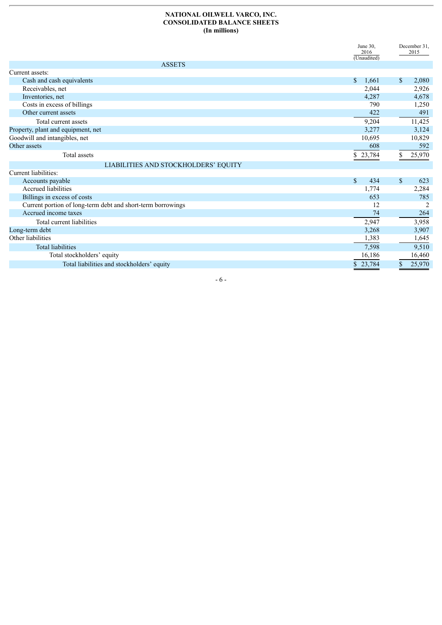#### **NATIONAL OILWELL VARCO, INC. CONSOLIDATED BALANCE SHEETS (In millions)**

|                                                             | June 30,<br>2016      |              | December 31,<br>2015 |
|-------------------------------------------------------------|-----------------------|--------------|----------------------|
| <b>ASSETS</b>                                               | (Unaudited)           |              |                      |
| Current assets:                                             |                       |              |                      |
| Cash and cash equivalents                                   | $\mathbb{S}$<br>1,661 | \$           | 2,080                |
| Receivables, net                                            | 2,044                 |              | 2,926                |
| Inventories, net                                            | 4,287                 |              | 4,678                |
| Costs in excess of billings                                 | 790                   |              | 1,250                |
| Other current assets                                        | 422                   |              | 491                  |
| Total current assets                                        | 9,204                 |              | 11,425               |
| Property, plant and equipment, net                          | 3,277                 |              | 3,124                |
| Goodwill and intangibles, net                               | 10,695                |              | 10,829               |
| Other assets                                                | 608                   |              | 592                  |
| Total assets                                                | \$23,784              |              | 25,970               |
| LIABILITIES AND STOCKHOLDERS' EQUITY                        |                       |              |                      |
| Current liabilities:                                        |                       |              |                      |
| Accounts payable                                            | $\mathbb{S}$<br>434   | $\mathbb{S}$ | 623                  |
| <b>Accrued liabilities</b>                                  | 1,774                 |              | 2,284                |
| Billings in excess of costs                                 | 653                   |              | 785                  |
| Current portion of long-term debt and short-term borrowings | 12                    |              | 2                    |
| Accrued income taxes                                        | 74                    |              | 264                  |
| Total current liabilities                                   | 2,947                 |              | 3,958                |
| Long-term debt                                              | 3,268                 |              | 3,907                |
| Other liabilities                                           | 1,383                 |              | 1,645                |
| <b>Total liabilities</b>                                    | 7,598                 |              | 9,510                |
| Total stockholders' equity                                  | 16,186                |              | 16,460               |
| Total liabilities and stockholders' equity                  | 23,784                |              | 25,970               |
|                                                             |                       |              |                      |

- 6 -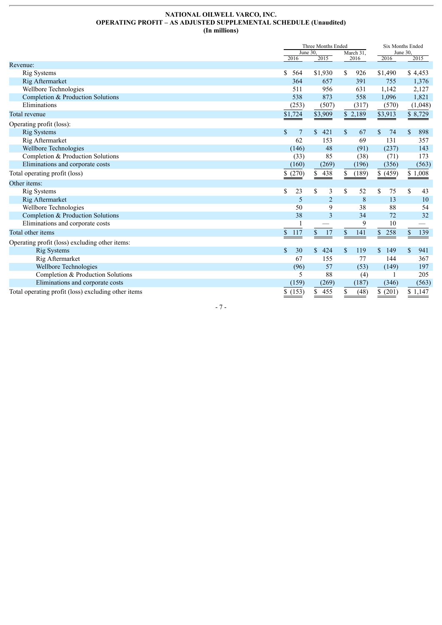## **NATIONAL OILWELL VARCO, INC. OPERATING PROFIT – AS ADJUSTED SUPPLEMENTAL SCHEDULE (Unaudited) (In millions)**

|                                                     |                     | Three Months Ended<br>June 30. |                   |                     | <b>Six Months Ended</b><br>June 30, |  |  |
|-----------------------------------------------------|---------------------|--------------------------------|-------------------|---------------------|-------------------------------------|--|--|
|                                                     | 2016                | 2015                           | March 31.<br>2016 | 2016                | 2015                                |  |  |
| Revenue:                                            |                     |                                |                   |                     |                                     |  |  |
| Rig Systems                                         | \$<br>564           | \$1,930                        | \$<br>926         | \$1,490             | \$4,453                             |  |  |
| Rig Aftermarket                                     | 364                 | 657                            | 391               | 755                 | 1,376                               |  |  |
| Wellbore Technologies                               | 511                 | 956                            | 631               | 1,142               | 2,127                               |  |  |
| Completion & Production Solutions                   | 538                 | 873                            | 558               | 1,096               | 1,821                               |  |  |
| Eliminations                                        | (253)               | (507)                          | (317)             | (570)               | (1,048)                             |  |  |
| Total revenue                                       | \$1,724             | \$3,909                        | \$<br>2,189       | \$3,913             | 8,729                               |  |  |
| Operating profit (loss):                            |                     |                                |                   |                     |                                     |  |  |
| <b>Rig Systems</b>                                  | \$<br>7             | \$<br>421                      | \$<br>67          | \$<br>74            | \$<br>898                           |  |  |
| Rig Aftermarket                                     | 62                  | 153                            | 69                | 131                 | 357                                 |  |  |
| Wellbore Technologies                               | (146)               | 48                             | (91)              | (237)               | 143                                 |  |  |
| Completion & Production Solutions                   | (33)                | 85                             | (38)              | (71)                | 173                                 |  |  |
| Eliminations and corporate costs                    | (160)               | (269)                          | (196)             | (356)               | (563)                               |  |  |
| Total operating profit (loss)                       | \$(270)             | 438<br>S.                      | (189)<br>\$       | \$ (459)            | \$1,008                             |  |  |
| Other items:                                        |                     |                                |                   |                     |                                     |  |  |
| <b>Rig Systems</b>                                  | \$<br>23            | \$<br>3                        | \$<br>52          | \$<br>75            | \$<br>43                            |  |  |
| Rig Aftermarket                                     | 5                   | $\overline{2}$                 | 8                 | 13                  | 10                                  |  |  |
| Wellbore Technologies                               | 50                  | 9                              | 38                | 88                  | 54                                  |  |  |
| Completion & Production Solutions                   | 38                  | 3                              | 34                | 72                  | 32                                  |  |  |
| Eliminations and corporate costs                    |                     |                                | 9                 | 10                  |                                     |  |  |
| Total other items                                   | $\mathbb{S}$<br>117 | 17<br>$\mathbb{S}$             | 141<br>\$         | 258<br>$\mathbb{S}$ | $\mathbb{S}$<br>139                 |  |  |
| Operating profit (loss) excluding other items:      |                     |                                |                   |                     |                                     |  |  |
| <b>Rig Systems</b>                                  | \$<br>30            | \$<br>424                      | \$<br>119         | \$<br>149           | \$<br>941                           |  |  |
| Rig Aftermarket                                     | 67                  | 155                            | 77                | 144                 | 367                                 |  |  |
| Wellbore Technologies                               | (96)                | 57                             | (53)              | (149)               | 197                                 |  |  |
| Completion & Production Solutions                   | 5                   | 88                             | (4)               |                     | 205                                 |  |  |
| Eliminations and corporate costs                    | (159)               | (269)                          | (187)             | (346)               | (563)                               |  |  |
| Total operating profit (loss) excluding other items | \$(153)             | 455<br>\$                      | \$<br>(48)        | (201)<br>\$         | \$1,147                             |  |  |

- 7 -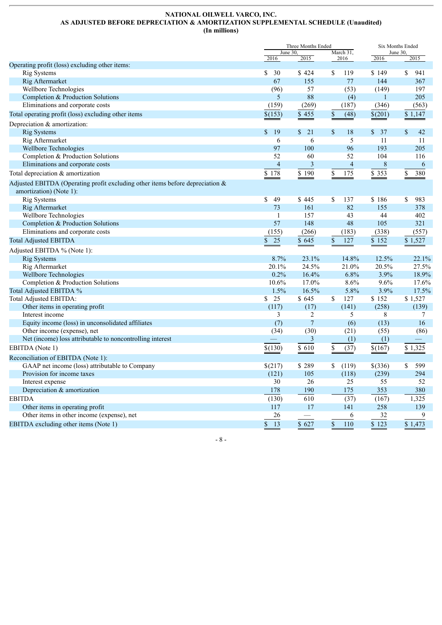## **NATIONAL OILWELL VARCO, INC. AS ADJUSTED BEFORE DEPRECIATION & AMORTIZATION SUPPLEMENTAL SCHEDULE (Unaudited) (In millions)**

|                                                                                                             | Three Months Ended<br>June 30. |                    |                             | Six Months Ended |                     |  |
|-------------------------------------------------------------------------------------------------------------|--------------------------------|--------------------|-----------------------------|------------------|---------------------|--|
|                                                                                                             | 2016                           | 2015               | March 31,<br>2016           | 2016             | June 30,<br>2015    |  |
| Operating profit (loss) excluding other items:                                                              |                                |                    |                             |                  |                     |  |
| <b>Rig Systems</b>                                                                                          | \$<br>30                       | \$424              | 119<br>\$                   | \$149            | 941<br>\$           |  |
| Rig Aftermarket                                                                                             | 67                             | 155                | 77                          | 144              | 367                 |  |
| Wellbore Technologies                                                                                       | (96)                           | 57                 | (53)                        | (149)            | 197                 |  |
| Completion & Production Solutions                                                                           | 5                              | 88                 | (4)                         | $\mathbf{1}$     | 205                 |  |
| Eliminations and corporate costs                                                                            | (159)                          | (269)              | (187)                       | (346)            | (563)               |  |
| Total operating profit (loss) excluding other items                                                         | \$(153)                        | \$455              | $\mathbb S$<br>(48)         | \$(201)          | \$1,147             |  |
| Depreciation & amortization:                                                                                |                                |                    |                             |                  |                     |  |
| <b>Rig Systems</b>                                                                                          | \$<br>19                       | $\mathbb{S}$<br>21 | \$<br>18                    | \$37             | $\mathbb{S}$<br>42  |  |
| Rig Aftermarket                                                                                             | $\overline{6}$                 | 6                  | $\overline{5}$              | 11               | 11                  |  |
| Wellbore Technologies                                                                                       | 97                             | 100                | 96                          | 193              | 205                 |  |
| Completion & Production Solutions                                                                           | 52                             | 60                 | 52                          | 104              | 116                 |  |
| Eliminations and corporate costs                                                                            | $\overline{4}$                 | $\mathbf{3}$       | $\overline{4}$              | $\,$ $\,$        | 6                   |  |
| Total depreciation & amortization                                                                           | \$178                          | \$190              | \$<br>175                   | \$ 353           | \$<br>380           |  |
|                                                                                                             |                                |                    |                             |                  |                     |  |
| Adjusted EBITDA (Operating profit excluding other items before depreciation $\&$<br>amortization) (Note 1): |                                |                    |                             |                  |                     |  |
| <b>Rig Systems</b>                                                                                          | \$<br>49                       | \$445              | \$<br>137                   | \$186            | \$<br>983           |  |
| Rig Aftermarket                                                                                             | 73                             | 161                | 82                          | 155              | 378                 |  |
| Wellbore Technologies                                                                                       | $\mathbf{1}$                   | 157                | 43                          | 44               | 402                 |  |
| Completion & Production Solutions                                                                           | 57                             | 148                | 48                          | 105              | 321                 |  |
| Eliminations and corporate costs                                                                            | (155)                          | (266)              | (183)                       | (338)            | (557)               |  |
|                                                                                                             |                                |                    |                             |                  |                     |  |
| <b>Total Adjusted EBITDA</b>                                                                                | 25<br>\$                       | \$645              | \$<br>127                   | \$152            | \$1,527             |  |
| Adjusted EBITDA % (Note 1):                                                                                 |                                |                    |                             |                  |                     |  |
| Rig Systems                                                                                                 | 8.7%                           | 23.1%              | 14.8%                       | 12.5%            | 22.1%               |  |
| Rig Aftermarket                                                                                             | 20.1%                          | 24.5%              | 21.0%                       | 20.5%            | 27.5%               |  |
| Wellbore Technologies                                                                                       | 0.2%                           | 16.4%              | 6.8%                        | 3.9%             | 18.9%               |  |
| Completion & Production Solutions                                                                           | 10.6%                          | 17.0%              | 8.6%                        | 9.6%             | 17.6%               |  |
| Total Adjusted EBITDA %                                                                                     | 1.5%                           | 16.5%              | 5.8%                        | 3.9%             | 17.5%               |  |
| Total Adjusted EBITDA:                                                                                      | 25<br>\$                       | \$645              | \$<br>127                   | \$152            | \$1,527             |  |
| Other items in operating profit                                                                             | (117)                          | (17)               | (141)                       | (258)            | (139)               |  |
| Interest income                                                                                             | 3                              | 2                  | 5                           | 8                | 7                   |  |
| Equity income (loss) in unconsolidated affiliates                                                           | (7)                            | $\overline{7}$     | (6)                         | (13)             | 16                  |  |
| Other income (expense), net                                                                                 | (34)                           | (30)               | (21)                        | (55)             | (86)                |  |
| Net (income) loss attributable to noncontrolling interest                                                   |                                | $\mathfrak{Z}$     | (1)                         | (1)              |                     |  |
| EBITDA (Note 1)                                                                                             | \$(130)                        | \$610              | \$<br>(37)                  | \$(167)          | \$1,325             |  |
| Reconciliation of EBITDA (Note 1):                                                                          |                                |                    |                             |                  |                     |  |
| GAAP net income (loss) attributable to Company                                                              | \$(217)                        | \$289              | \$<br>(119)                 | \$(336)          | 599<br>$\mathbb{S}$ |  |
| Provision for income taxes                                                                                  | (121)                          | 105                | (118)                       | (239)            | 294                 |  |
| Interest expense                                                                                            | 30                             | 26                 | 25                          | 55               | 52                  |  |
| Depreciation & amortization                                                                                 | 178                            | 190                | 175                         | 353              | 380                 |  |
| <b>EBITDA</b>                                                                                               | (130)                          | 610                | (37)                        | (167)            | 1,325               |  |
| Other items in operating profit                                                                             | 117                            | 17                 | 141                         | 258              | 139                 |  |
| Other items in other income (expense), net                                                                  | 26                             |                    | 6                           | 32               | 9                   |  |
| EBITDA excluding other items (Note 1)                                                                       | \$<br>$\overline{13}$          | \$627              | $\sqrt{\frac{2}{5}}$<br>110 | $\sqrt{3}$ 123   | $\overline{$}1,473$ |  |

- 8 -